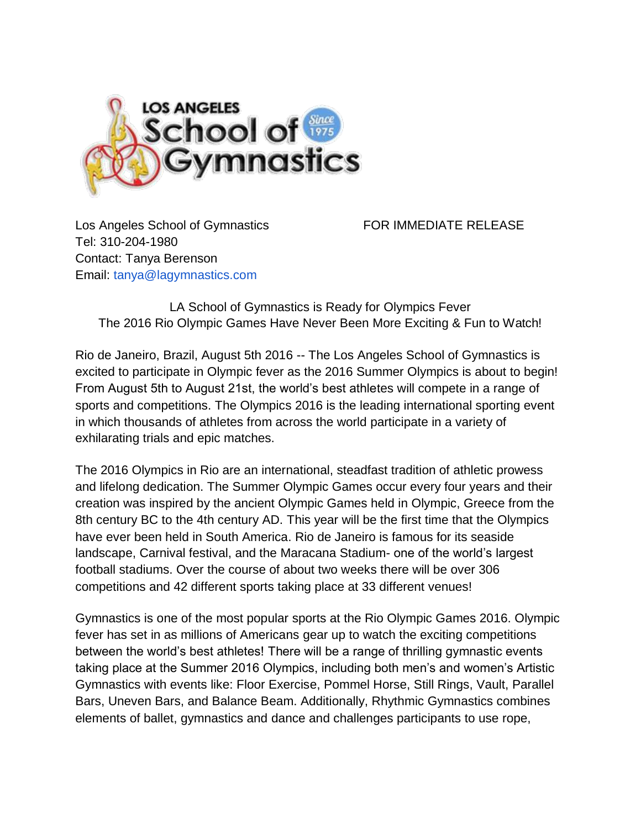

Los Angeles School of Gymnastics FOR IMMEDIATE RELEASE Tel: 310-204-1980 Contact: Tanya Berenson Email: tanya@lagymnastics.com

LA School of Gymnastics is Ready for Olympics Fever The 2016 Rio Olympic Games Have Never Been More Exciting & Fun to Watch!

Rio de Janeiro, Brazil, August 5th 2016 -- The Los Angeles School of Gymnastics is excited to participate in Olympic fever as the 2016 Summer Olympics is about to begin! From August 5th to August 21st, the world's best athletes will compete in a range of sports and competitions. The Olympics 2016 is the leading international sporting event in which thousands of athletes from across the world participate in a variety of exhilarating trials and epic matches.

The 2016 Olympics in Rio are an international, steadfast tradition of athletic prowess and lifelong dedication. The Summer Olympic Games occur every four years and their creation was inspired by the ancient Olympic Games held in Olympic, Greece from the 8th century BC to the 4th century AD. This year will be the first time that the Olympics have ever been held in South America. Rio de Janeiro is famous for its seaside landscape, Carnival festival, and the Maracana Stadium- one of the world's largest football stadiums. Over the course of about two weeks there will be over 306 competitions and 42 different sports taking place at 33 different venues!

Gymnastics is one of the most popular sports at the Rio Olympic Games 2016. Olympic fever has set in as millions of Americans gear up to watch the exciting competitions between the world's best athletes! There will be a range of thrilling gymnastic events taking place at the Summer 2016 Olympics, including both men's and women's Artistic Gymnastics with events like: Floor Exercise, Pommel Horse, Still Rings, Vault, Parallel Bars, Uneven Bars, and Balance Beam. Additionally, Rhythmic Gymnastics combines elements of ballet, gymnastics and dance and challenges participants to use rope,